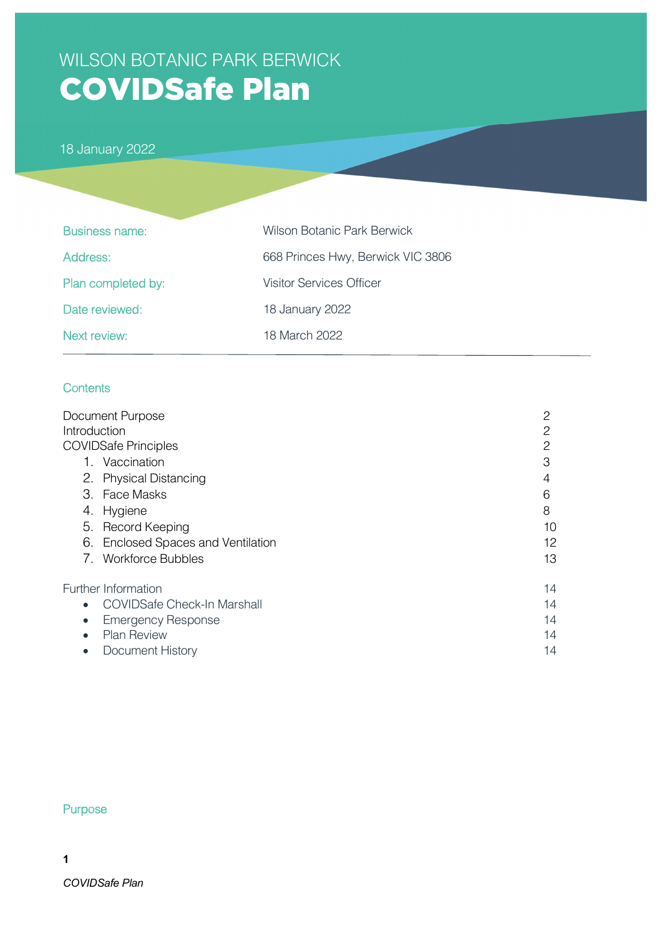# WILSON BOTANIC PARK BERWICK **COVIDSafe Plan**

18 January 2022

| <b>Business name:</b> | <b>Wilson Botanic Park Berwick</b> |
|-----------------------|------------------------------------|
| Address:              | 668 Princes Hwy, Berwick VIC 3806  |
| Plan completed by:    | <b>Visitor Services Officer</b>    |
| Date reviewed:        | 18 January 2022                    |
| Next review:          | 18 March 2022                      |

#### **Contents**

|              | Document Purpose                   | 2  |
|--------------|------------------------------------|----|
| Introduction |                                    | 2  |
|              | <b>COVIDSafe Principles</b>        | 2  |
|              | 1. Vaccination                     | 3  |
|              | 2. Physical Distancing             | 4  |
|              | 3. Face Masks                      | 6  |
| 4.           | Hygiene                            | 8  |
|              | 5. Record Keeping                  | 10 |
|              | 6. Enclosed Spaces and Ventilation | 12 |
|              | 7. Workforce Bubbles               | 13 |
|              | Further Information                | 14 |
| $\bullet$    | <b>COVIDSafe Check-In Marshall</b> | 14 |
| $\bullet$    | <b>Emergency Response</b>          | 14 |
| $\bullet$    | <b>Plan Review</b>                 | 14 |
| $\bullet$    | Document History                   | 14 |

#### Purpose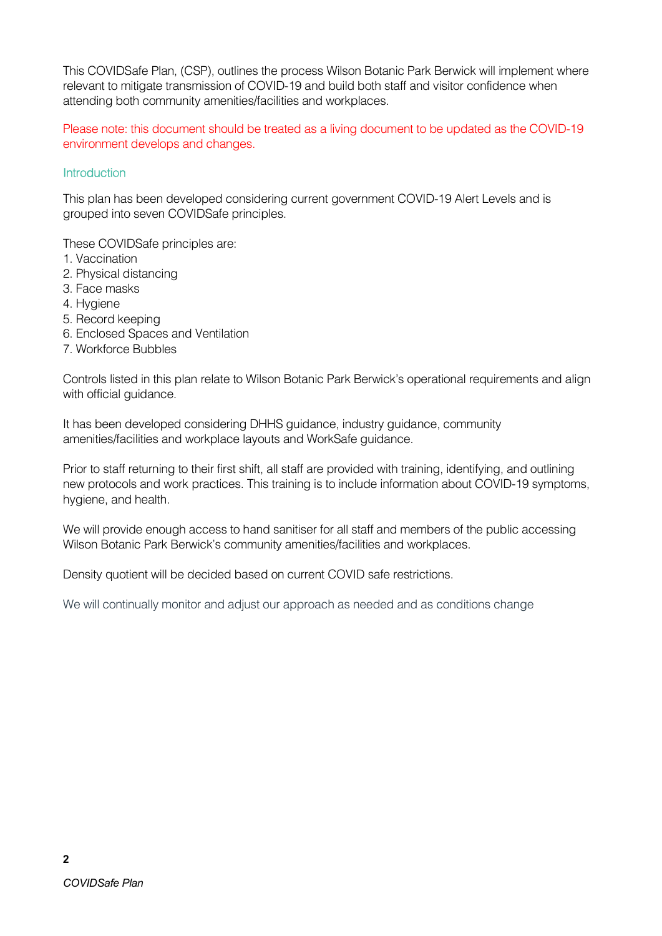This COVIDSafe Plan, (CSP), outlines the process Wilson Botanic Park Berwick will implement where relevant to mitigate transmission of COVID-19 and build both staff and visitor confidence when attending both community amenities/facilities and workplaces.

Please note: this document should be treated as a living document to be updated as the COVID-19 environment develops and changes.

#### **Introduction**

This plan has been developed considering current government COVID-19 Alert Levels and is grouped into seven COVIDSafe principles.

These COVIDSafe principles are:

- 1. Vaccination
- 2. Physical distancing
- 3. Face masks
- 4. Hygiene
- 5. Record keeping
- 6. Enclosed Spaces and Ventilation
- 7. Workforce Bubbles

Controls listed in this plan relate to Wilson Botanic Park Berwick's operational requirements and align with official guidance.

It has been developed considering DHHS guidance, industry guidance, community amenities/facilities and workplace layouts and WorkSafe guidance.

Prior to staff returning to their first shift, all staff are provided with training, identifying, and outlining new protocols and work practices. This training is to include information about COVID-19 symptoms, hygiene, and health.

We will provide enough access to hand sanitiser for all staff and members of the public accessing Wilson Botanic Park Berwick's community amenities/facilities and workplaces.

Density quotient will be decided based on current COVID safe restrictions.

We will continually monitor and adjust our approach as needed and as conditions change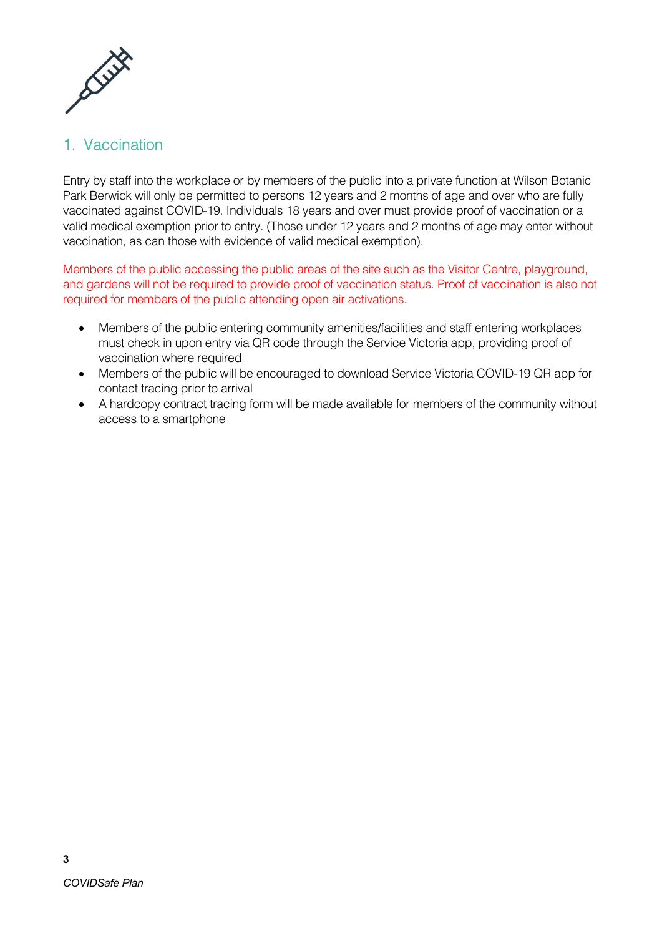

### 1. Vaccination

Entry by staff into the workplace or by members of the public into a private function at Wilson Botanic Park Berwick will only be permitted to persons 12 years and 2 months of age and over who are fully vaccinated against COVID-19. Individuals 18 years and over must provide proof of vaccination or a valid medical exemption prior to entry. (Those under 12 years and 2 months of age may enter without vaccination, as can those with evidence of valid medical exemption).

Members of the public accessing the public areas of the site such as the Visitor Centre, playground, and gardens will not be required to provide proof of vaccination status. Proof of vaccination is also not required for members of the public attending open air activations.

- Members of the public entering community amenities/facilities and staff entering workplaces must check in upon entry via QR code through the Service Victoria app, providing proof of vaccination where required
- Members of the public will be encouraged to download Service Victoria COVID-19 QR app for contact tracing prior to arrival
- A hardcopy contract tracing form will be made available for members of the community without access to a smartphone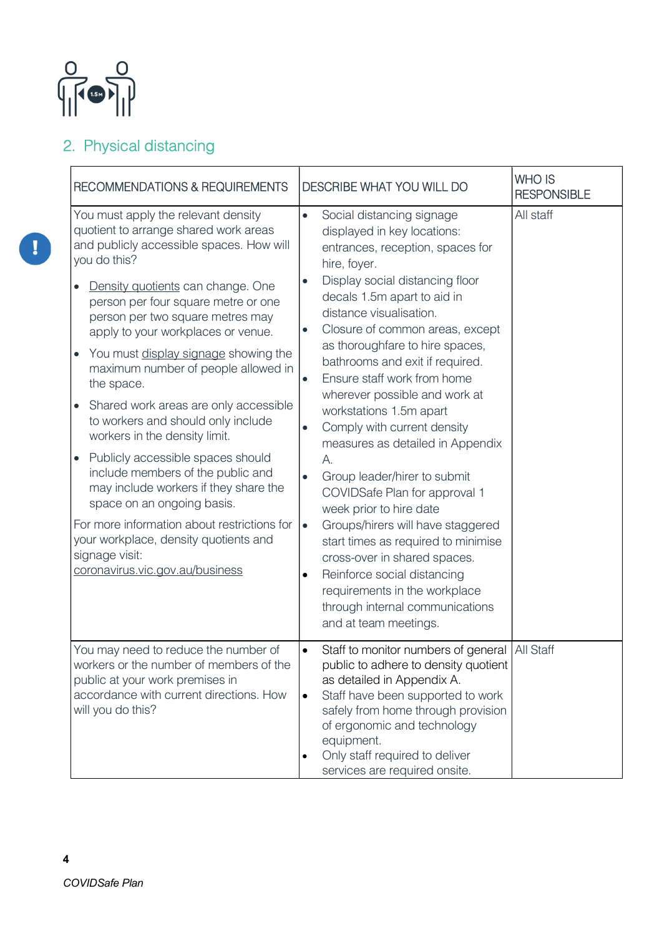

## 2. Physical distancing

| <b>RECOMMENDATIONS &amp; REQUIREMENTS</b>                                                                                                                                                                                                                                                                                                                                                                                                                                                                                                                                                                                                                                                                                                                                                                                           | DESCRIBE WHAT YOU WILL DO                                                                                                                                                                                                                                                                                                                                                                                                                                                                                                                                                                                                                                                                                                                                                                                                                                                                   | <b>WHO IS</b><br><b>RESPONSIBLE</b> |
|-------------------------------------------------------------------------------------------------------------------------------------------------------------------------------------------------------------------------------------------------------------------------------------------------------------------------------------------------------------------------------------------------------------------------------------------------------------------------------------------------------------------------------------------------------------------------------------------------------------------------------------------------------------------------------------------------------------------------------------------------------------------------------------------------------------------------------------|---------------------------------------------------------------------------------------------------------------------------------------------------------------------------------------------------------------------------------------------------------------------------------------------------------------------------------------------------------------------------------------------------------------------------------------------------------------------------------------------------------------------------------------------------------------------------------------------------------------------------------------------------------------------------------------------------------------------------------------------------------------------------------------------------------------------------------------------------------------------------------------------|-------------------------------------|
| You must apply the relevant density<br>quotient to arrange shared work areas<br>and publicly accessible spaces. How will<br>you do this?<br>Density quotients can change. One<br>person per four square metre or one<br>person per two square metres may<br>apply to your workplaces or venue.<br>You must display signage showing the<br>$\bullet$<br>maximum number of people allowed in<br>the space.<br>Shared work areas are only accessible<br>to workers and should only include<br>workers in the density limit.<br>Publicly accessible spaces should<br>$\bullet$<br>include members of the public and<br>may include workers if they share the<br>space on an ongoing basis.<br>For more information about restrictions for<br>your workplace, density quotients and<br>signage visit:<br>coronavirus.vic.gov.au/business | Social distancing signage<br>$\bullet$<br>displayed in key locations:<br>entrances, reception, spaces for<br>hire, foyer.<br>Display social distancing floor<br>decals 1.5m apart to aid in<br>distance visualisation.<br>Closure of common areas, except<br>$\bullet$<br>as thoroughfare to hire spaces,<br>bathrooms and exit if required.<br>Ensure staff work from home<br>$\bullet$<br>wherever possible and work at<br>workstations 1.5m apart<br>Comply with current density<br>measures as detailed in Appendix<br>А.<br>Group leader/hirer to submit<br>$\bullet$<br>COVIDSafe Plan for approval 1<br>week prior to hire date<br>Groups/hirers will have staggered<br>$\bullet$<br>start times as required to minimise<br>cross-over in shared spaces.<br>Reinforce social distancing<br>requirements in the workplace<br>through internal communications<br>and at team meetings. | All staff                           |
| You may need to reduce the number of<br>workers or the number of members of the<br>public at your work premises in<br>accordance with current directions. How<br>will you do this?                                                                                                                                                                                                                                                                                                                                                                                                                                                                                                                                                                                                                                                  | Staff to monitor numbers of general   All Staff<br>$\bullet$<br>public to adhere to density quotient<br>as detailed in Appendix A.<br>Staff have been supported to work<br>$\bullet$<br>safely from home through provision<br>of ergonomic and technology<br>equipment.<br>Only staff required to deliver<br>$\bullet$<br>services are required onsite.                                                                                                                                                                                                                                                                                                                                                                                                                                                                                                                                     |                                     |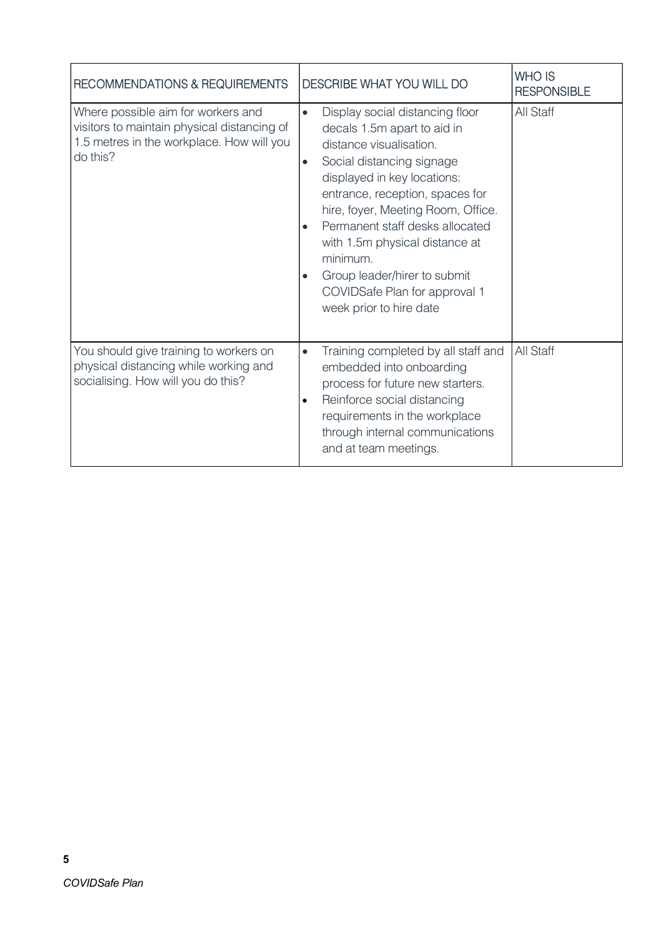| RECOMMENDATIONS & REQUIREMENTS                                                                                                             | DESCRIBE WHAT YOU WILL DO                                                                                                                                                                                                                                                                                                                                                                                                                                       | <b>WHO IS</b><br><b>RESPONSIBLE</b> |
|--------------------------------------------------------------------------------------------------------------------------------------------|-----------------------------------------------------------------------------------------------------------------------------------------------------------------------------------------------------------------------------------------------------------------------------------------------------------------------------------------------------------------------------------------------------------------------------------------------------------------|-------------------------------------|
| Where possible aim for workers and<br>visitors to maintain physical distancing of<br>1.5 metres in the workplace. How will you<br>do this? | Display social distancing floor<br>$\bullet$<br>decals 1.5m apart to aid in<br>distance visualisation.<br>Social distancing signage<br>$\bullet$<br>displayed in key locations:<br>entrance, reception, spaces for<br>hire, foyer, Meeting Room, Office.<br>Permanent staff desks allocated<br>$\bullet$<br>with 1.5m physical distance at<br>minimum.<br>Group leader/hirer to submit<br>$\bullet$<br>COVIDSafe Plan for approval 1<br>week prior to hire date | All Staff                           |
| You should give training to workers on<br>physical distancing while working and<br>socialising. How will you do this?                      | Training completed by all staff and<br>$\bullet$<br>embedded into onboarding<br>process for future new starters.<br>Reinforce social distancing<br>requirements in the workplace<br>through internal communications<br>and at team meetings.                                                                                                                                                                                                                    | All Staff                           |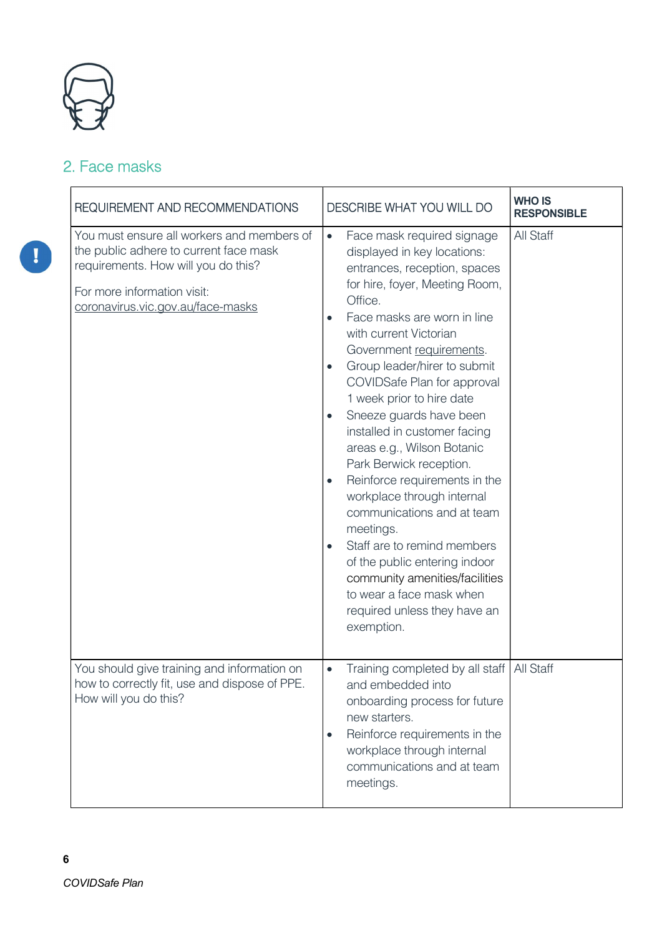

### 2. Face masks

| REQUIREMENT AND RECOMMENDATIONS                                                                                                                                                                 | DESCRIBE WHAT YOU WILL DO                                                                                                                                                                                                                                                                                                                                                                                                                                                                                                                                                                                                                                                                                                                                                                                       | <b>WHO IS</b><br><b>RESPONSIBLE</b> |
|-------------------------------------------------------------------------------------------------------------------------------------------------------------------------------------------------|-----------------------------------------------------------------------------------------------------------------------------------------------------------------------------------------------------------------------------------------------------------------------------------------------------------------------------------------------------------------------------------------------------------------------------------------------------------------------------------------------------------------------------------------------------------------------------------------------------------------------------------------------------------------------------------------------------------------------------------------------------------------------------------------------------------------|-------------------------------------|
| You must ensure all workers and members of<br>the public adhere to current face mask<br>requirements. How will you do this?<br>For more information visit:<br>coronavirus.vic.gov.au/face-masks | Face mask required signage<br>$\bullet$<br>displayed in key locations:<br>entrances, reception, spaces<br>for hire, foyer, Meeting Room,<br>Office.<br>Face masks are worn in line<br>$\bullet$<br>with current Victorian<br>Government requirements.<br>Group leader/hirer to submit<br>$\bullet$<br>COVIDSafe Plan for approval<br>1 week prior to hire date<br>Sneeze guards have been<br>$\bullet$<br>installed in customer facing<br>areas e.g., Wilson Botanic<br>Park Berwick reception.<br>Reinforce requirements in the<br>$\bullet$<br>workplace through internal<br>communications and at team<br>meetings.<br>Staff are to remind members<br>$\bullet$<br>of the public entering indoor<br>community amenities/facilities<br>to wear a face mask when<br>required unless they have an<br>exemption. | All Staff                           |
| You should give training and information on<br>how to correctly fit, use and dispose of PPE<br>How will you do this?                                                                            | Training completed by all staff<br>$\bullet$<br>and embedded into<br>onboarding process for future<br>new starters.<br>Reinforce requirements in the<br>workplace through internal<br>communications and at team<br>meetings.                                                                                                                                                                                                                                                                                                                                                                                                                                                                                                                                                                                   | All Staff                           |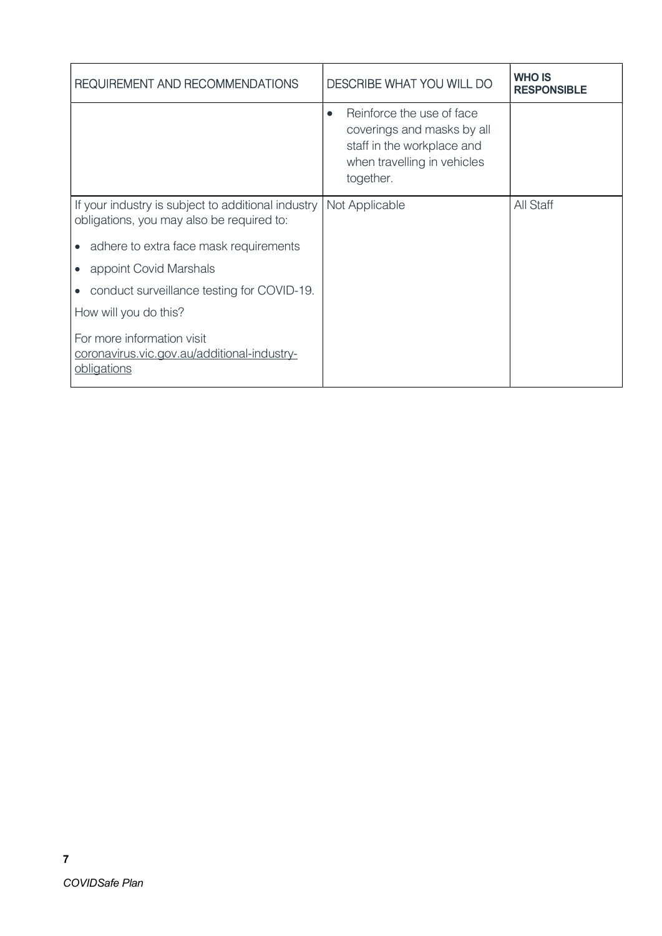| REQUIREMENT AND RECOMMENDATIONS                                                                 | DESCRIBE WHAT YOU WILL DO                                                                                                                      | <b>WHO IS</b><br><b>RESPONSIBLE</b> |
|-------------------------------------------------------------------------------------------------|------------------------------------------------------------------------------------------------------------------------------------------------|-------------------------------------|
|                                                                                                 | Reinforce the use of face<br>$\bullet$<br>coverings and masks by all<br>staff in the workplace and<br>when travelling in vehicles<br>together. |                                     |
| If your industry is subject to additional industry<br>obligations, you may also be required to: | Not Applicable                                                                                                                                 | All Staff                           |
| • adhere to extra face mask requirements                                                        |                                                                                                                                                |                                     |
| appoint Covid Marshals                                                                          |                                                                                                                                                |                                     |
| conduct surveillance testing for COVID-19.<br>$\bullet$                                         |                                                                                                                                                |                                     |
| How will you do this?                                                                           |                                                                                                                                                |                                     |
| For more information visit<br>coronavirus.vic.gov.au/additional-industry-<br>obligations        |                                                                                                                                                |                                     |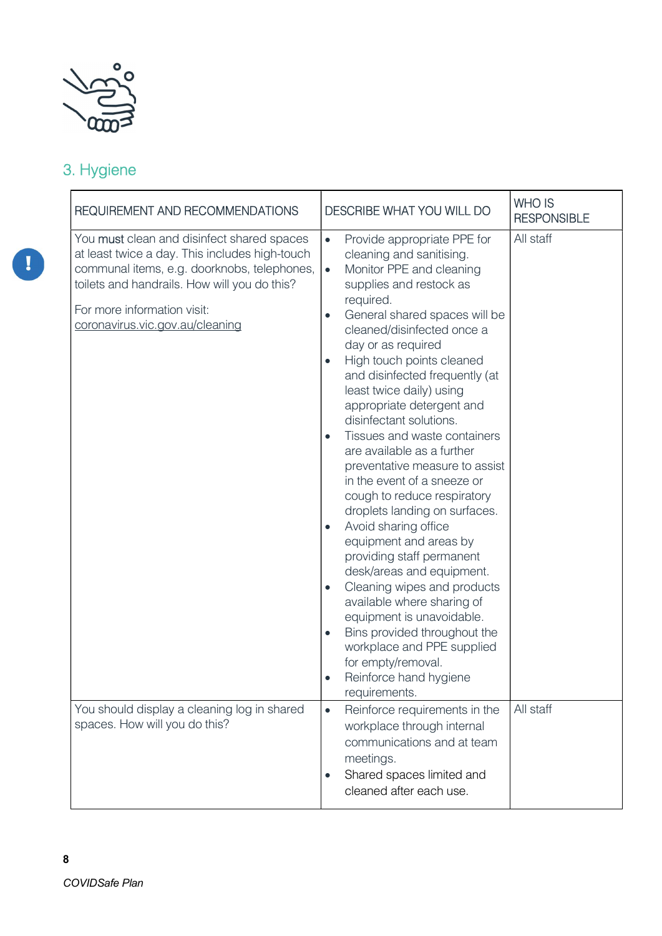

## 3. Hygiene

| <b>REQUIREMENT AND RECOMMENDATIONS</b>                                                                                                                                                                                                                               | <b>DESCRIBE WHAT YOU WILL DO</b>                                                                                                                                                                                                                                                                                                                                                                                                                                                                                                                                                                                                                                                                                                                                                                                                                                                                                                                                                                                             | <b>WHO IS</b><br><b>RESPONSIBLE</b> |
|----------------------------------------------------------------------------------------------------------------------------------------------------------------------------------------------------------------------------------------------------------------------|------------------------------------------------------------------------------------------------------------------------------------------------------------------------------------------------------------------------------------------------------------------------------------------------------------------------------------------------------------------------------------------------------------------------------------------------------------------------------------------------------------------------------------------------------------------------------------------------------------------------------------------------------------------------------------------------------------------------------------------------------------------------------------------------------------------------------------------------------------------------------------------------------------------------------------------------------------------------------------------------------------------------------|-------------------------------------|
| You <b>must</b> clean and disinfect shared spaces<br>at least twice a day. This includes high-touch<br>communal items, e.g. doorknobs, telephones,<br>toilets and handrails. How will you do this?<br>For more information visit:<br>coronavirus.vic.gov.au/cleaning | Provide appropriate PPE for<br>$\bullet$<br>cleaning and sanitising.<br>Monitor PPE and cleaning<br>$\bullet$<br>supplies and restock as<br>required.<br>General shared spaces will be<br>$\bullet$<br>cleaned/disinfected once a<br>day or as required<br>High touch points cleaned<br>$\bullet$<br>and disinfected frequently (at<br>least twice daily) using<br>appropriate detergent and<br>disinfectant solutions.<br>Tissues and waste containers<br>$\bullet$<br>are available as a further<br>preventative measure to assist<br>in the event of a sneeze or<br>cough to reduce respiratory<br>droplets landing on surfaces.<br>Avoid sharing office<br>$\bullet$<br>equipment and areas by<br>providing staff permanent<br>desk/areas and equipment.<br>Cleaning wipes and products<br>$\bullet$<br>available where sharing of<br>equipment is unavoidable.<br>Bins provided throughout the<br>$\bullet$<br>workplace and PPE supplied<br>for empty/removal.<br>Reinforce hand hygiene<br>$\bullet$<br>requirements. | All staff                           |
| You should display a cleaning log in shared<br>spaces. How will you do this?                                                                                                                                                                                         | Reinforce requirements in the<br>$\bullet$<br>workplace through internal<br>communications and at team<br>meetings.<br>Shared spaces limited and<br>cleaned after each use.                                                                                                                                                                                                                                                                                                                                                                                                                                                                                                                                                                                                                                                                                                                                                                                                                                                  | All staff                           |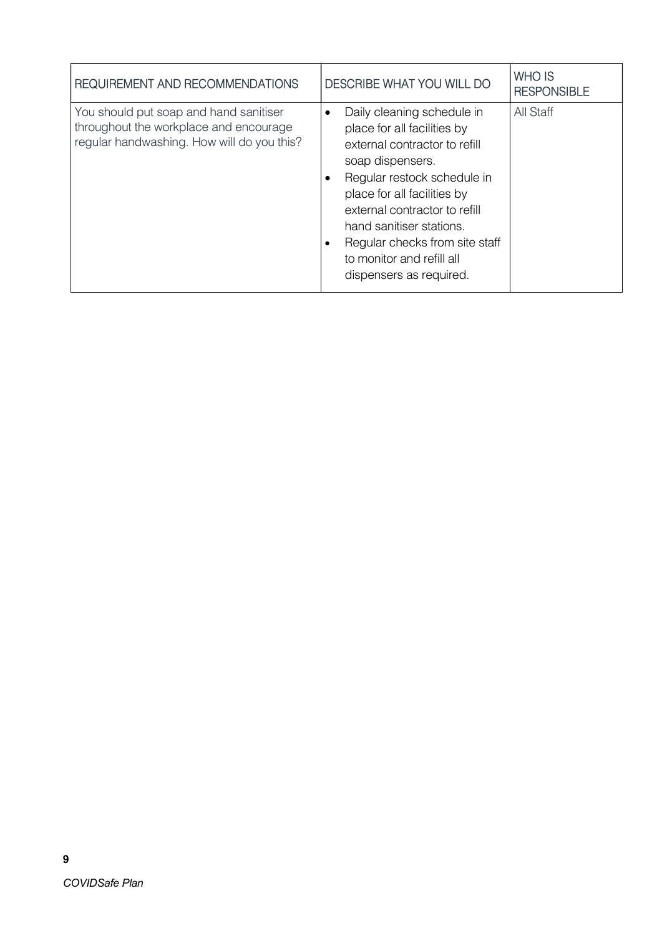| REQUIREMENT AND RECOMMENDATIONS                                                                                                | <b>DESCRIBE WHAT YOU WILL DO</b>                                                                                                                                                                                                                                                                                                                 | <b>WHO IS</b><br><b>RESPONSIBLE</b> |
|--------------------------------------------------------------------------------------------------------------------------------|--------------------------------------------------------------------------------------------------------------------------------------------------------------------------------------------------------------------------------------------------------------------------------------------------------------------------------------------------|-------------------------------------|
| You should put soap and hand sanitiser<br>throughout the workplace and encourage<br>regular handwashing. How will do you this? | Daily cleaning schedule in<br>$\bullet$<br>place for all facilities by<br>external contractor to refill<br>soap dispensers.<br>Regular restock schedule in<br>place for all facilities by<br>external contractor to refill<br>hand sanitiser stations.<br>Regular checks from site staff<br>to monitor and refill all<br>dispensers as required. | All Staff                           |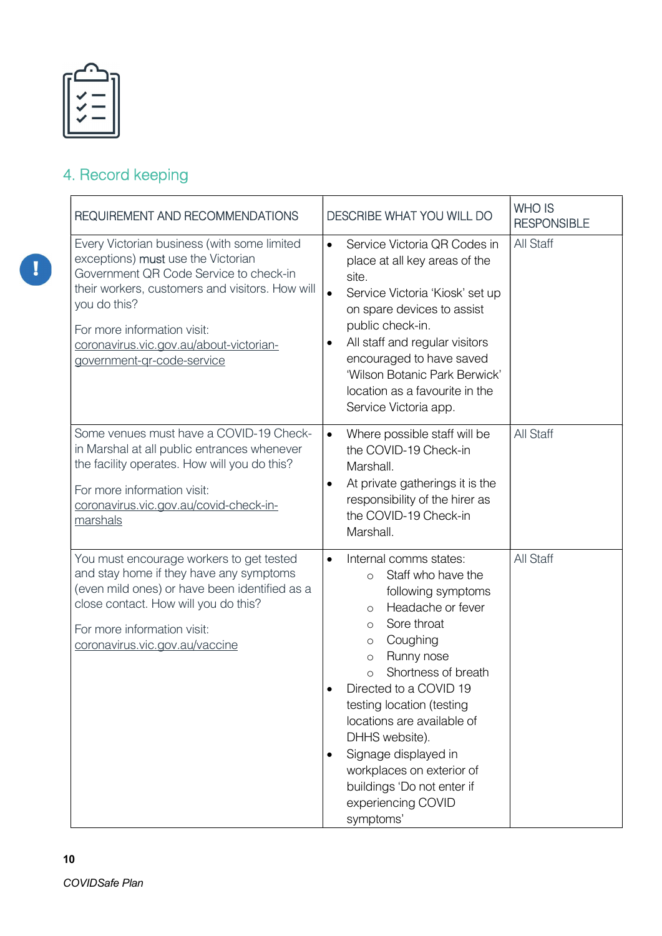## 4. Record keeping

| <b>REQUIREMENT AND RECOMMENDATIONS</b>                                                                                                                                                                                                                                                                 | <b>DESCRIBE WHAT YOU WILL DO</b>                                                                                                                                                                                                                                                                                                                                                                                                                                                 | <b>WHO IS</b><br><b>RESPONSIBLE</b> |
|--------------------------------------------------------------------------------------------------------------------------------------------------------------------------------------------------------------------------------------------------------------------------------------------------------|----------------------------------------------------------------------------------------------------------------------------------------------------------------------------------------------------------------------------------------------------------------------------------------------------------------------------------------------------------------------------------------------------------------------------------------------------------------------------------|-------------------------------------|
| Every Victorian business (with some limited<br>exceptions) must use the Victorian<br>Government QR Code Service to check-in<br>their workers, customers and visitors. How will<br>you do this?<br>For more information visit:<br>coronavirus.vic.gov.au/about-victorian-<br>government-gr-code-service | Service Victoria QR Codes in<br>$\bullet$<br>place at all key areas of the<br>site.<br>Service Victoria 'Kiosk' set up<br>$\bullet$<br>on spare devices to assist<br>public check-in.<br>All staff and regular visitors<br>$\bullet$<br>encouraged to have saved<br>'Wilson Botanic Park Berwick'<br>location as a favourite in the<br>Service Victoria app.                                                                                                                     | All Staff                           |
| Some venues must have a COVID-19 Check-<br>in Marshal at all public entrances whenever<br>the facility operates. How will you do this?<br>For more information visit:<br>coronavirus.vic.gov.au/covid-check-in-<br>marshals                                                                            | Where possible staff will be<br>$\bullet$<br>the COVID-19 Check-in<br>Marshall.<br>At private gatherings it is the<br>$\bullet$<br>responsibility of the hirer as<br>the COVID-19 Check-in<br>Marshall.                                                                                                                                                                                                                                                                          | All Staff                           |
| You must encourage workers to get tested<br>and stay home if they have any symptoms<br>(even mild ones) or have been identified as a<br>close contact. How will you do this?<br>For more information visit:<br>coronavirus.vic.gov.au/vaccine                                                          | Internal comms states:<br>$\bullet$<br>Staff who have the<br>$\circ$<br>following symptoms<br>Headache or fever<br>$\circ$<br>Sore throat<br>$\circ$<br>Coughing<br>$\circ$<br>Runny nose<br>$\circ$<br>Shortness of breath<br>$\circ$<br>Directed to a COVID 19<br>testing location (testing<br>locations are available of<br>DHHS website).<br>Signage displayed in<br>$\bullet$<br>workplaces on exterior of<br>buildings 'Do not enter if<br>experiencing COVID<br>symptoms' | <b>All Staff</b>                    |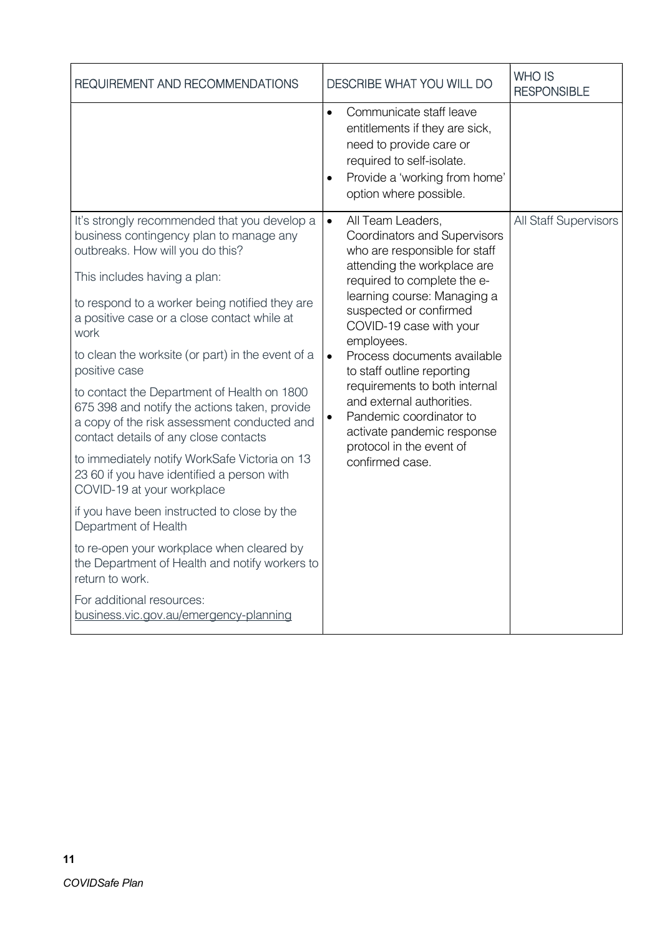| Communicate staff leave<br>entitlements if they are sick,<br>need to provide care or                                                                                                                                                                                                                                                                                                                                                                                                  |                           |
|---------------------------------------------------------------------------------------------------------------------------------------------------------------------------------------------------------------------------------------------------------------------------------------------------------------------------------------------------------------------------------------------------------------------------------------------------------------------------------------|---------------------------|
| Provide a 'working from home'<br>option where possible.                                                                                                                                                                                                                                                                                                                                                                                                                               |                           |
| All Team Leaders,<br>Coordinators and Supervisors<br>who are responsible for staff<br>attending the workplace are<br>required to complete the e-<br>learning course: Managing a<br>suspected or confirmed<br>COVID-19 case with your<br>employees.<br>Process documents available<br>to staff outline reporting<br>requirements to both internal<br>and external authorities.<br>Pandemic coordinator to<br>activate pandemic response<br>protocol in the event of<br>confirmed case. | All Staff Supervisors     |
|                                                                                                                                                                                                                                                                                                                                                                                                                                                                                       | required to self-isolate. |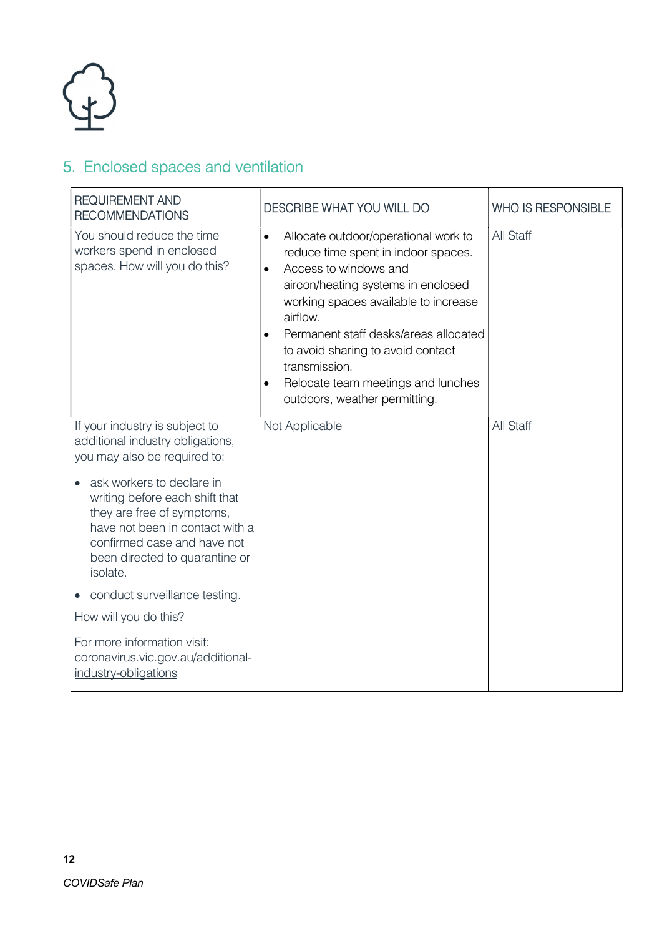

## 5. Enclosed spaces and ventilation

| <b>REQUIREMENT AND</b><br><b>RECOMMENDATIONS</b>                                                                                                                                                          | <b>DESCRIBE WHAT YOU WILL DO</b>                                                                                                                                                                                                                                                                                                                                                               | <b>WHO IS RESPONSIBLE</b> |
|-----------------------------------------------------------------------------------------------------------------------------------------------------------------------------------------------------------|------------------------------------------------------------------------------------------------------------------------------------------------------------------------------------------------------------------------------------------------------------------------------------------------------------------------------------------------------------------------------------------------|---------------------------|
| You should reduce the time<br>workers spend in enclosed<br>spaces. How will you do this?                                                                                                                  | Allocate outdoor/operational work to<br>$\bullet$<br>reduce time spent in indoor spaces.<br>Access to windows and<br>$\bullet$<br>aircon/heating systems in enclosed<br>working spaces available to increase<br>airflow.<br>Permanent staff desks/areas allocated<br>to avoid sharing to avoid contact<br>transmission.<br>Relocate team meetings and lunches<br>outdoors, weather permitting. | <b>All Staff</b>          |
| If your industry is subject to<br>additional industry obligations,<br>you may also be required to:                                                                                                        | Not Applicable                                                                                                                                                                                                                                                                                                                                                                                 | <b>All Staff</b>          |
| ask workers to declare in<br>writing before each shift that<br>they are free of symptoms,<br>have not been in contact with a<br>confirmed case and have not<br>been directed to quarantine or<br>isolate. |                                                                                                                                                                                                                                                                                                                                                                                                |                           |
| conduct surveillance testing.                                                                                                                                                                             |                                                                                                                                                                                                                                                                                                                                                                                                |                           |
| How will you do this?                                                                                                                                                                                     |                                                                                                                                                                                                                                                                                                                                                                                                |                           |
| For more information visit:<br>coronavirus.vic.gov.au/additional-<br>industry-obligations                                                                                                                 |                                                                                                                                                                                                                                                                                                                                                                                                |                           |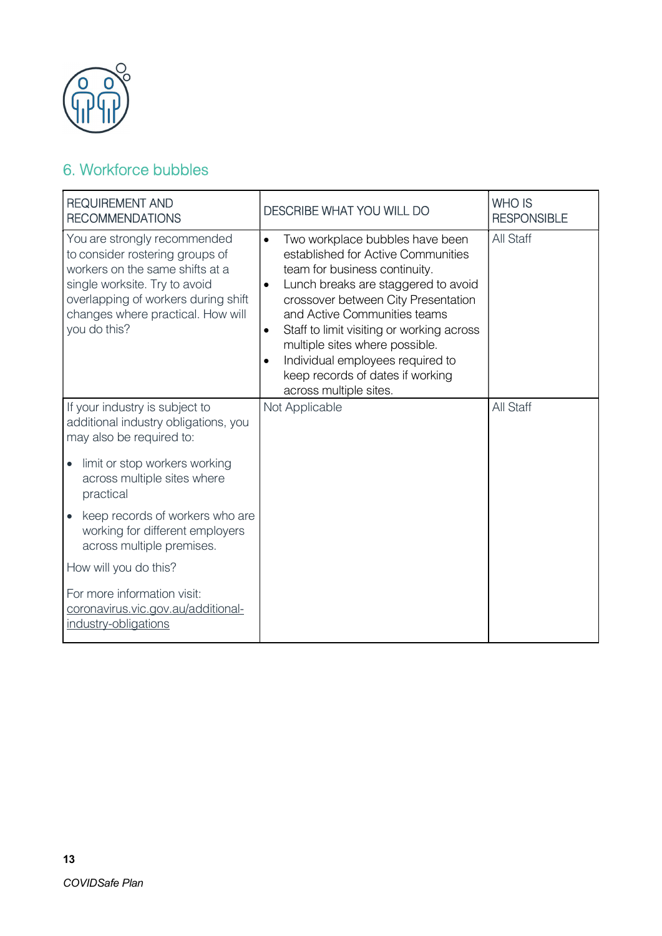

### 6. Workforce bubbles

| <b>REQUIREMENT AND</b><br><b>RECOMMENDATIONS</b>                                                                                                                                                                                | <b>DESCRIBE WHAT YOU WILL DO</b>                                                                                                                                                                                                                                                                                                                                                                                                                          | <b>WHO IS</b><br><b>RESPONSIBLE</b> |
|---------------------------------------------------------------------------------------------------------------------------------------------------------------------------------------------------------------------------------|-----------------------------------------------------------------------------------------------------------------------------------------------------------------------------------------------------------------------------------------------------------------------------------------------------------------------------------------------------------------------------------------------------------------------------------------------------------|-------------------------------------|
| You are strongly recommended<br>to consider rostering groups of<br>workers on the same shifts at a<br>single worksite. Try to avoid<br>overlapping of workers during shift<br>changes where practical. How will<br>you do this? | Two workplace bubbles have been<br>$\bullet$<br>established for Active Communities<br>team for business continuity.<br>Lunch breaks are staggered to avoid<br>$\bullet$<br>crossover between City Presentation<br>and Active Communities teams<br>Staff to limit visiting or working across<br>$\bullet$<br>multiple sites where possible.<br>Individual employees required to<br>$\bullet$<br>keep records of dates if working<br>across multiple sites. | All Staff                           |
| If your industry is subject to<br>additional industry obligations, you<br>may also be required to:                                                                                                                              | Not Applicable                                                                                                                                                                                                                                                                                                                                                                                                                                            | <b>All Staff</b>                    |
| limit or stop workers working<br>across multiple sites where<br>practical                                                                                                                                                       |                                                                                                                                                                                                                                                                                                                                                                                                                                                           |                                     |
| keep records of workers who are<br>working for different employers<br>across multiple premises.                                                                                                                                 |                                                                                                                                                                                                                                                                                                                                                                                                                                                           |                                     |
| How will you do this?                                                                                                                                                                                                           |                                                                                                                                                                                                                                                                                                                                                                                                                                                           |                                     |
| For more information visit:<br>coronavirus.vic.gov.au/additional-<br>industry-obligations                                                                                                                                       |                                                                                                                                                                                                                                                                                                                                                                                                                                                           |                                     |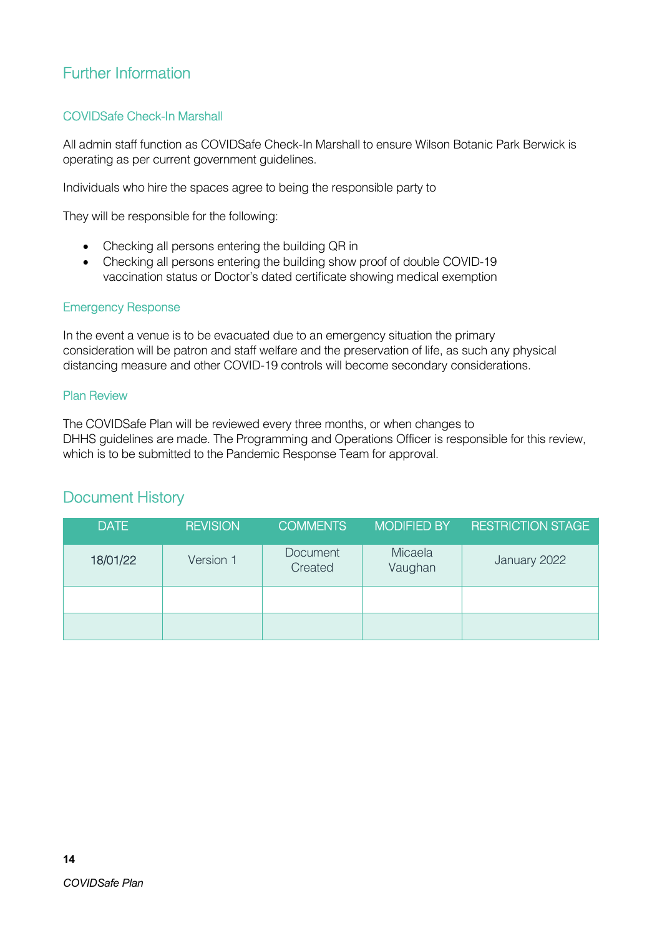### Further Information

### COVIDSafe Check-In Marshall

All admin staff function as COVIDSafe Check-In Marshall to ensure Wilson Botanic Park Berwick is operating as per current government guidelines.

Individuals who hire the spaces agree to being the responsible party to

They will be responsible for the following:

- Checking all persons entering the building QR in
- Checking all persons entering the building show proof of double COVID-19 vaccination status or Doctor's dated certificate showing medical exemption

#### Emergency Response

In the event a venue is to be evacuated due to an emergency situation the primary consideration will be patron and staff welfare and the preservation of life, as such any physical distancing measure and other COVID-19 controls will become secondary considerations.

#### Plan Review

The COVIDSafe Plan will be reviewed every three months, or when changes to DHHS guidelines are made. The Programming and Operations Officer is responsible for this review, which is to be submitted to the Pandemic Response Team for approval.

### Document History

| <b>DATE</b> | <b>REVISION</b> | <b>COMMENTS</b>            | <b>MODIFIED BY</b> | <b>RESTRICTION STAGE</b> |
|-------------|-----------------|----------------------------|--------------------|--------------------------|
| 18/01/22    | Version 1       | <b>Document</b><br>Created | Micaela<br>Vaughan | January 2022             |
|             |                 |                            |                    |                          |
|             |                 |                            |                    |                          |